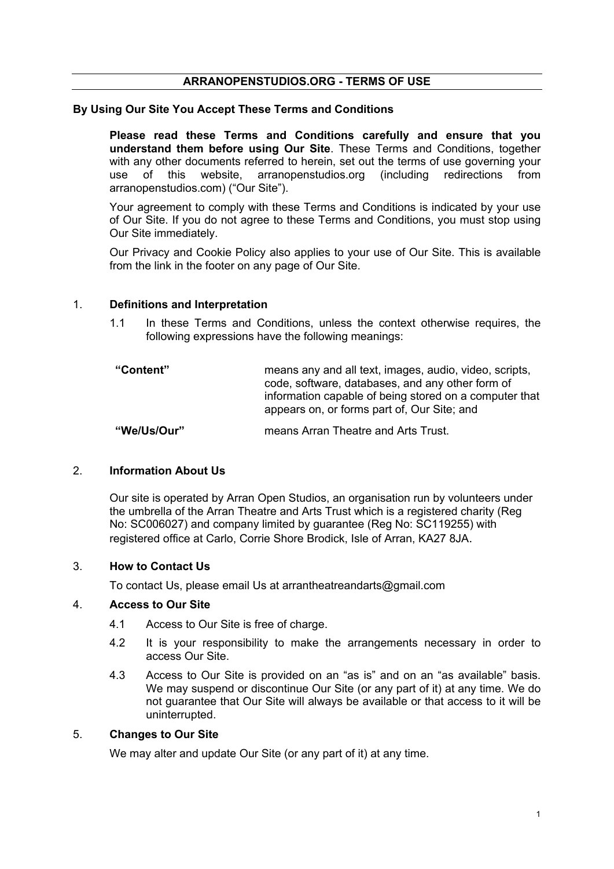## **ARRANOPENSTUDIOS.ORG - TERMS OF USE**

### **By Using Our Site You Accept These Terms and Conditions**

**Please read these Terms and Conditions carefully and ensure that you understand them before using Our Site**. These Terms and Conditions, together with any other documents referred to herein, set out the terms of use governing your use of this website, arranopenstudios.org (including redirections from arranopenstudios.com) ("Our Site").

Your agreement to comply with these Terms and Conditions is indicated by your use of Our Site. If you do not agree to these Terms and Conditions, you must stop using Our Site immediately.

Our Privacy and Cookie Policy also applies to your use of Our Site. This is available from the link in the footer on any page of Our Site.

#### 1. **Definitions and Interpretation**

1.1 In these Terms and Conditions, unless the context otherwise requires, the following expressions have the following meanings:

| "Content" | means any and all text, images, audio, video, scripts,<br>code, software, databases, and any other form of<br>information capable of being stored on a computer that |
|-----------|----------------------------------------------------------------------------------------------------------------------------------------------------------------------|
|           | appears on, or forms part of, Our Site; and                                                                                                                          |

**"We/Us/Our"** means Arran Theatre and Arts Trust.

## 2. **Information About Us**

Our site is operated by Arran Open Studios, an organisation run by volunteers under the umbrella of the Arran Theatre and Arts Trust which is a registered charity (Reg No: SC006027) and company limited by guarantee (Reg No: SC119255) with registered office at Carlo, Corrie Shore Brodick, Isle of Arran, KA27 8JA.

#### 3. **How to Contact Us**

To contact Us, please email Us at arrantheatreandarts@gmail.com

#### 4. **Access to Our Site**

- 4.1 Access to Our Site is free of charge.
- 4.2 It is your responsibility to make the arrangements necessary in order to access Our Site.
- 4.3 Access to Our Site is provided on an "as is" and on an "as available" basis. We may suspend or discontinue Our Site (or any part of it) at any time. We do not guarantee that Our Site will always be available or that access to it will be uninterrupted.

#### 5. **Changes to Our Site**

We may alter and update Our Site (or any part of it) at any time.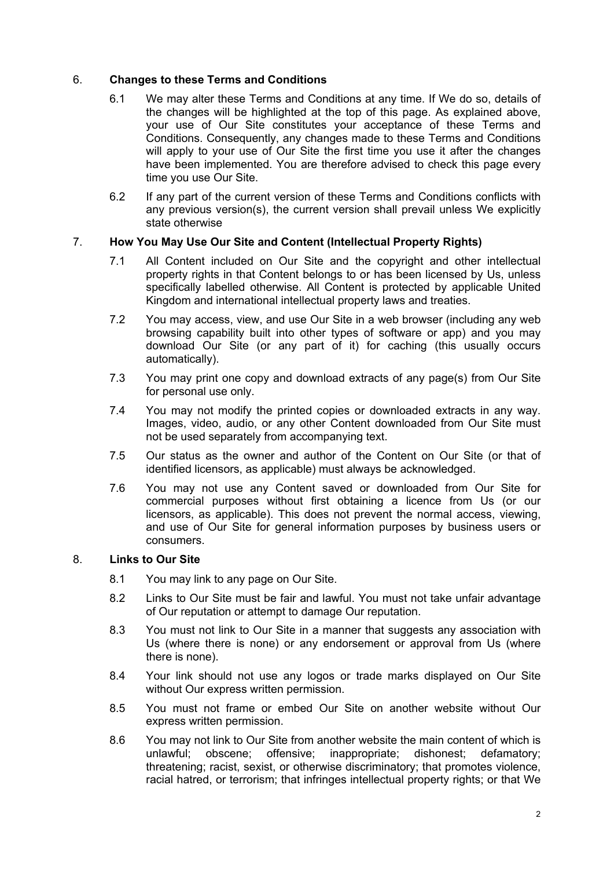# 6. **Changes to these Terms and Conditions**

- 6.1 We may alter these Terms and Conditions at any time. If We do so, details of the changes will be highlighted at the top of this page. As explained above, your use of Our Site constitutes your acceptance of these Terms and Conditions. Consequently, any changes made to these Terms and Conditions will apply to your use of Our Site the first time you use it after the changes have been implemented. You are therefore advised to check this page every time you use Our Site.
- 6.2 If any part of the current version of these Terms and Conditions conflicts with any previous version(s), the current version shall prevail unless We explicitly state otherwise

# 7. **How You May Use Our Site and Content (Intellectual Property Rights)**

- 7.1 All Content included on Our Site and the copyright and other intellectual property rights in that Content belongs to or has been licensed by Us, unless specifically labelled otherwise. All Content is protected by applicable United Kingdom and international intellectual property laws and treaties.
- 7.2 You may access, view, and use Our Site in a web browser (including any web browsing capability built into other types of software or app) and you may download Our Site (or any part of it) for caching (this usually occurs automatically).
- 7.3 You may print one copy and download extracts of any page(s) from Our Site for personal use only.
- 7.4 You may not modify the printed copies or downloaded extracts in any way. Images, video, audio, or any other Content downloaded from Our Site must not be used separately from accompanying text.
- 7.5 Our status as the owner and author of the Content on Our Site (or that of identified licensors, as applicable) must always be acknowledged.
- 7.6 You may not use any Content saved or downloaded from Our Site for commercial purposes without first obtaining a licence from Us (or our licensors, as applicable). This does not prevent the normal access, viewing, and use of Our Site for general information purposes by business users or consumers.

## 8. **Links to Our Site**

- 8.1 You may link to any page on Our Site.
- 8.2 Links to Our Site must be fair and lawful. You must not take unfair advantage of Our reputation or attempt to damage Our reputation.
- 8.3 You must not link to Our Site in a manner that suggests any association with Us (where there is none) or any endorsement or approval from Us (where there is none).
- 8.4 Your link should not use any logos or trade marks displayed on Our Site without Our express written permission.
- 8.5 You must not frame or embed Our Site on another website without Our express written permission.
- 8.6 You may not link to Our Site from another website the main content of which is unlawful; obscene; offensive; inappropriate; dishonest; defamatory; threatening; racist, sexist, or otherwise discriminatory; that promotes violence, racial hatred, or terrorism; that infringes intellectual property rights; or that We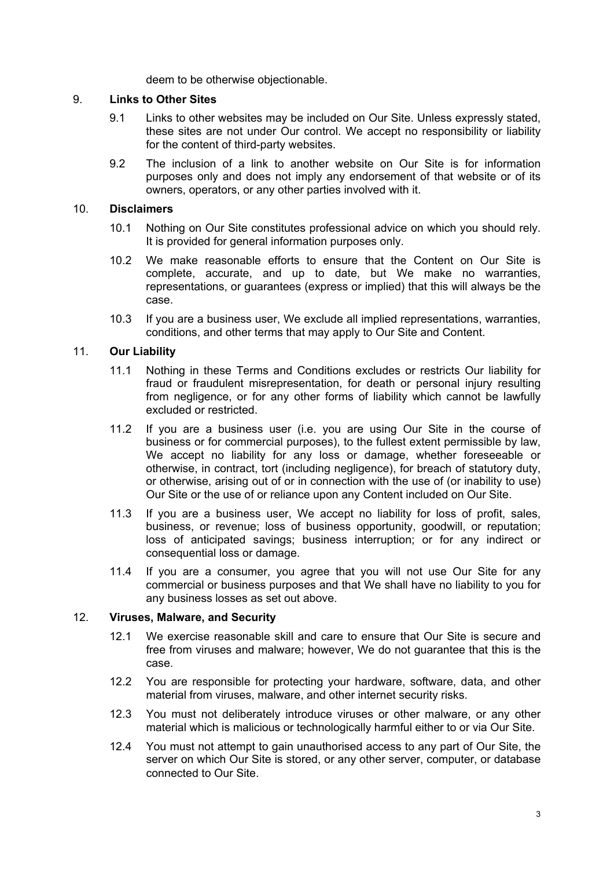deem to be otherwise objectionable.

## 9. **Links to Other Sites**

- 9.1 Links to other websites may be included on Our Site. Unless expressly stated, these sites are not under Our control. We accept no responsibility or liability for the content of third-party websites.
- 9.2 The inclusion of a link to another website on Our Site is for information purposes only and does not imply any endorsement of that website or of its owners, operators, or any other parties involved with it.

### 10. **Disclaimers**

- 10.1 Nothing on Our Site constitutes professional advice on which you should rely. It is provided for general information purposes only.
- 10.2 We make reasonable efforts to ensure that the Content on Our Site is complete, accurate, and up to date, but We make no warranties, representations, or guarantees (express or implied) that this will always be the case.
- 10.3 If you are a business user, We exclude all implied representations, warranties, conditions, and other terms that may apply to Our Site and Content.

## 11. **Our Liability**

- 11.1 Nothing in these Terms and Conditions excludes or restricts Our liability for fraud or fraudulent misrepresentation, for death or personal injury resulting from negligence, or for any other forms of liability which cannot be lawfully excluded or restricted.
- 11.2 If you are a business user (i.e. you are using Our Site in the course of business or for commercial purposes), to the fullest extent permissible by law, We accept no liability for any loss or damage, whether foreseeable or otherwise, in contract, tort (including negligence), for breach of statutory duty, or otherwise, arising out of or in connection with the use of (or inability to use) Our Site or the use of or reliance upon any Content included on Our Site.
- 11.3 If you are a business user, We accept no liability for loss of profit, sales, business, or revenue; loss of business opportunity, goodwill, or reputation; loss of anticipated savings; business interruption; or for any indirect or consequential loss or damage.
- 11.4 If you are a consumer, you agree that you will not use Our Site for any commercial or business purposes and that We shall have no liability to you for any business losses as set out above.

#### 12. **Viruses, Malware, and Security**

- 12.1 We exercise reasonable skill and care to ensure that Our Site is secure and free from viruses and malware; however, We do not guarantee that this is the case.
- 12.2 You are responsible for protecting your hardware, software, data, and other material from viruses, malware, and other internet security risks.
- 12.3 You must not deliberately introduce viruses or other malware, or any other material which is malicious or technologically harmful either to or via Our Site.
- 12.4 You must not attempt to gain unauthorised access to any part of Our Site, the server on which Our Site is stored, or any other server, computer, or database connected to Our Site.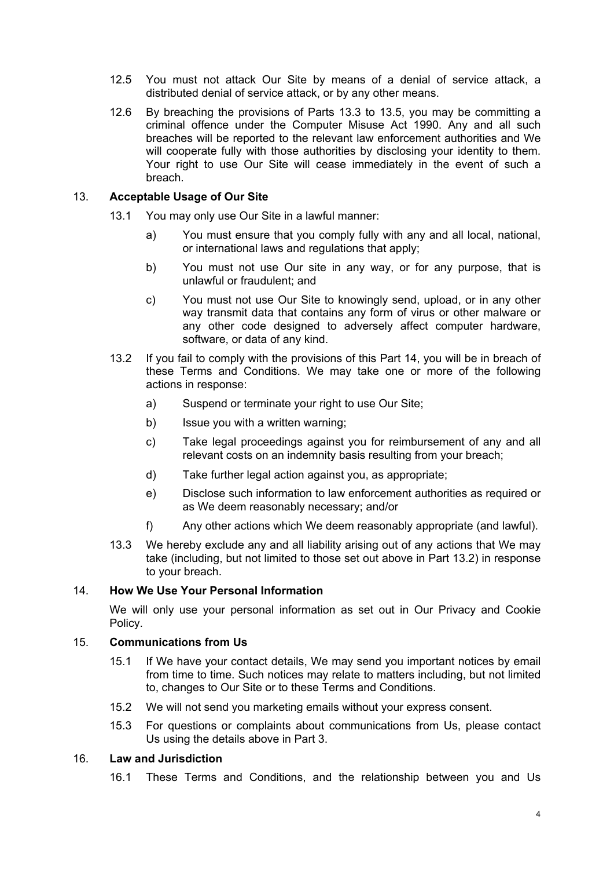- 12.5 You must not attack Our Site by means of a denial of service attack, a distributed denial of service attack, or by any other means.
- 12.6 By breaching the provisions of Parts 13.3 to 13.5, you may be committing a criminal offence under the Computer Misuse Act 1990. Any and all such breaches will be reported to the relevant law enforcement authorities and We will cooperate fully with those authorities by disclosing your identity to them. Your right to use Our Site will cease immediately in the event of such a breach.

### 13. **Acceptable Usage of Our Site**

- 13.1 You may only use Our Site in a lawful manner:
	- a) You must ensure that you comply fully with any and all local, national, or international laws and regulations that apply;
	- b) You must not use Our site in any way, or for any purpose, that is unlawful or fraudulent; and
	- c) You must not use Our Site to knowingly send, upload, or in any other way transmit data that contains any form of virus or other malware or any other code designed to adversely affect computer hardware, software, or data of any kind.
- 13.2 If you fail to comply with the provisions of this Part 14, you will be in breach of these Terms and Conditions. We may take one or more of the following actions in response:
	- a) Suspend or terminate your right to use Our Site;
	- b) Issue you with a written warning;
	- c) Take legal proceedings against you for reimbursement of any and all relevant costs on an indemnity basis resulting from your breach;
	- d) Take further legal action against you, as appropriate;
	- e) Disclose such information to law enforcement authorities as required or as We deem reasonably necessary; and/or
	- f) Any other actions which We deem reasonably appropriate (and lawful).
- 13.3 We hereby exclude any and all liability arising out of any actions that We may take (including, but not limited to those set out above in Part 13.2) in response to your breach.

## 14. **How We Use Your Personal Information**

We will only use your personal information as set out in Our Privacy and Cookie Policy.

## 15. **Communications from Us**

- 15.1 If We have your contact details, We may send you important notices by email from time to time. Such notices may relate to matters including, but not limited to, changes to Our Site or to these Terms and Conditions.
- 15.2 We will not send you marketing emails without your express consent.
- 15.3 For questions or complaints about communications from Us, please contact Us using the details above in Part 3.

#### 16. **Law and Jurisdiction**

16.1 These Terms and Conditions, and the relationship between you and Us